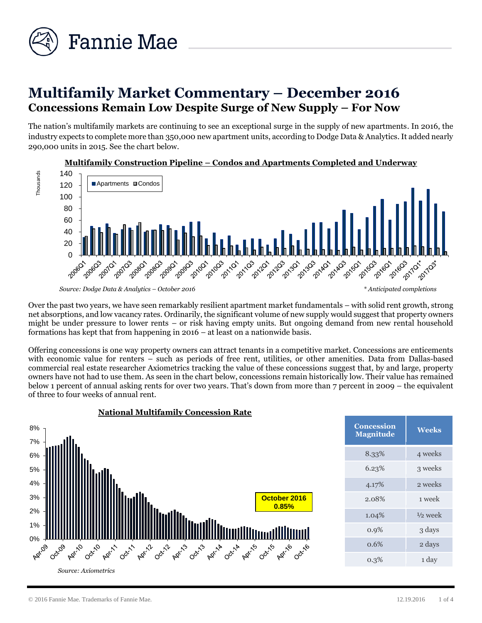

# **Multifamily Market Commentary – December 2016 Concessions Remain Low Despite Surge of New Supply – For Now**

The nation's multifamily markets are continuing to see an exceptional surge in the supply of new apartments. In 2016, the industry expects to complete more than 350,000 new apartment units, according to Dodge Data & Analytics. It added nearly 290,000 units in 2015. See the chart below.



**Multifamily Construction Pipeline – Condos and Apartments Completed and Underway**

Over the past two years, we have seen remarkably resilient apartment market fundamentals – with solid rent growth, strong net absorptions, and low vacancy rates. Ordinarily, the significant volume of new supply would suggest that property owners might be under pressure to lower rents – or risk having empty units. But ongoing demand from new rental household formations has kept that from happening in 2016 – at least on a nationwide basis.

Offering concessions is one way property owners can attract tenants in a competitive market. Concessions are enticements with economic value for renters – such as periods of free rent, utilities, or other amenities. Data from Dallas-based commercial real estate researcher Axiometrics tracking the value of these concessions suggest that, by and large, property owners have not had to use them. As seen in the chart below, concessions remain historically low. Their value has remained below 1 percent of annual asking rents for over two years. That's down from more than 7 percent in 2009 – the equivalent of three to four weeks of annual rent.



*Source: Dodge Data & Analytics – October 2016 \* Anticipated completions*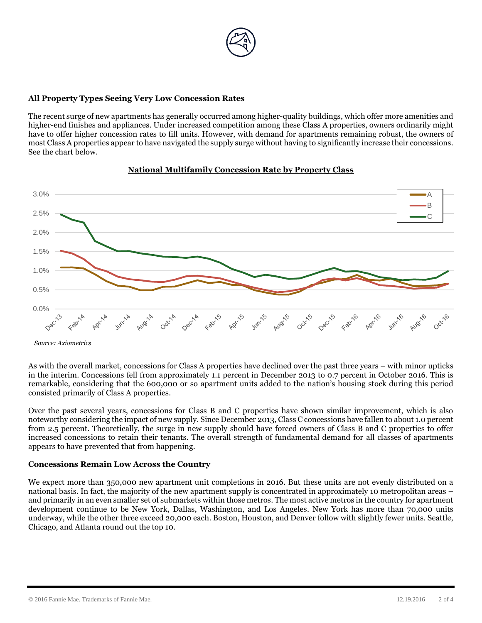

### **All Property Types Seeing Very Low Concession Rates**

The recent surge of new apartments has generally occurred among higher-quality buildings, which offer more amenities and higher-end finishes and appliances. Under increased competition among these Class A properties, owners ordinarily might have to offer higher concession rates to fill units. However, with demand for apartments remaining robust, the owners of most Class A properties appear to have navigated the supply surge without having to significantly increase their concessions. See the chart below.



#### **National Multifamily Concession Rate by Property Class**

As with the overall market, concessions for Class A properties have declined over the past three years – with minor upticks in the interim. Concessions fell from approximately 1.1 percent in December 2013 to 0.7 percent in October 2016. This is remarkable, considering that the 600,000 or so apartment units added to the nation's housing stock during this period consisted primarily of Class A properties.

Over the past several years, concessions for Class B and C properties have shown similar improvement, which is also noteworthy considering the impact of new supply. Since December 2013, Class C concessions have fallen to about 1.0 percent from 2.5 percent. Theoretically, the surge in new supply should have forced owners of Class B and C properties to offer increased concessions to retain their tenants. The overall strength of fundamental demand for all classes of apartments appears to have prevented that from happening.

#### **Concessions Remain Low Across the Country**

We expect more than 350,000 new apartment unit completions in 2016. But these units are not evenly distributed on a national basis. In fact, the majority of the new apartment supply is concentrated in approximately 10 metropolitan areas – and primarily in an even smaller set of submarkets within those metros. The most active metros in the country for apartment development continue to be New York, Dallas, Washington, and Los Angeles. New York has more than 70,000 units underway, while the other three exceed 20,000 each. Boston, Houston, and Denver follow with slightly fewer units. Seattle, Chicago, and Atlanta round out the top 10.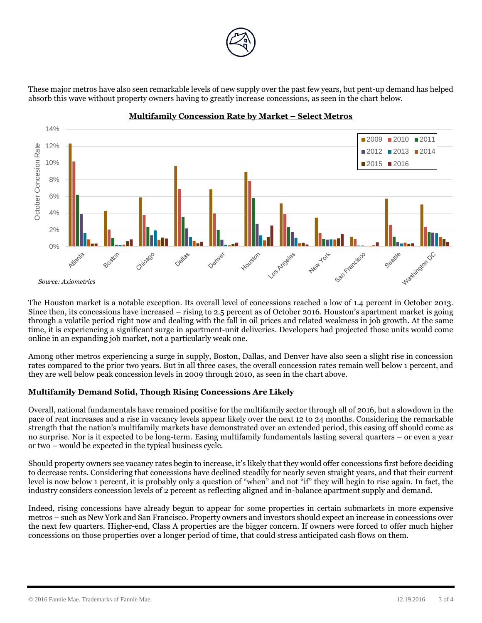

These major metros have also seen remarkable levels of new supply over the past few years, but pent-up demand has helped absorb this wave without property owners having to greatly increase concessions, as seen in the chart below.



## **Multifamily Concession Rate by Market – Select Metros**

The Houston market is a notable exception. Its overall level of concessions reached a low of 1.4 percent in October 2013. Since then, its concessions have increased – rising to 2.5 percent as of October 2016. Houston's apartment market is going through a volatile period right now and dealing with the fall in oil prices and related weakness in job growth. At the same time, it is experiencing a significant surge in apartment-unit deliveries. Developers had projected those units would come online in an expanding job market, not a particularly weak one.

Among other metros experiencing a surge in supply, Boston, Dallas, and Denver have also seen a slight rise in concession rates compared to the prior two years. But in all three cases, the overall concession rates remain well below 1 percent, and they are well below peak concession levels in 2009 through 2010, as seen in the chart above.

## **Multifamily Demand Solid, Though Rising Concessions Are Likely**

Overall, national fundamentals have remained positive for the multifamily sector through all of 2016, but a slowdown in the pace of rent increases and a rise in vacancy levels appear likely over the next 12 to 24 months. Considering the remarkable strength that the nation's multifamily markets have demonstrated over an extended period, this easing off should come as no surprise. Nor is it expected to be long-term. Easing multifamily fundamentals lasting several quarters – or even a year or two – would be expected in the typical business cycle.

Should property owners see vacancy rates begin to increase, it's likely that they would offer concessions first before deciding to decrease rents. Considering that concessions have declined steadily for nearly seven straight years, and that their current level is now below 1 percent, it is probably only a question of "when" and not "if" they will begin to rise again. In fact, the industry considers concession levels of 2 percent as reflecting aligned and in-balance apartment supply and demand.

Indeed, rising concessions have already begun to appear for some properties in certain submarkets in more expensive metros – such as New York and San Francisco. Property owners and investors should expect an increase in concessions over the next few quarters. Higher-end, Class A properties are the bigger concern. If owners were forced to offer much higher concessions on those properties over a longer period of time, that could stress anticipated cash flows on them.